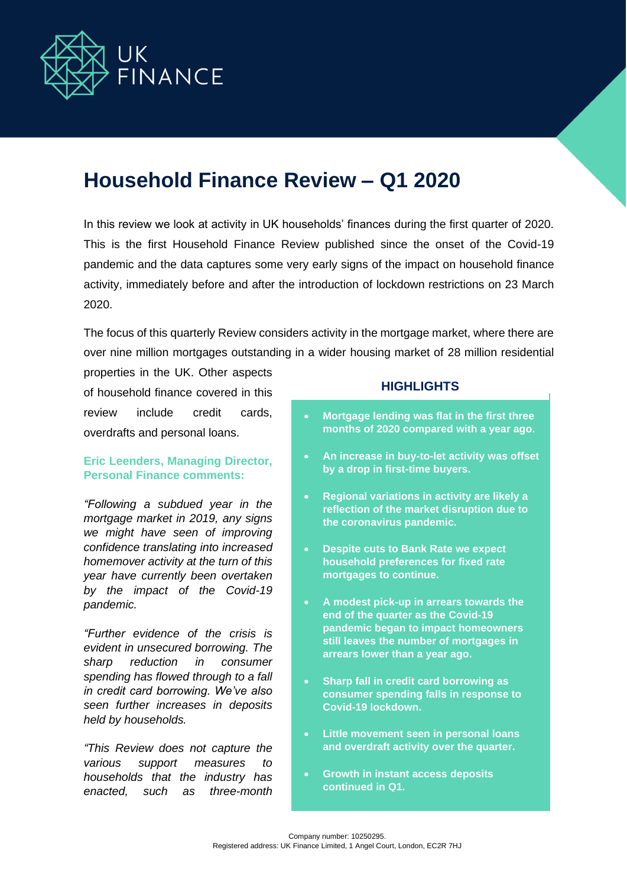

# **Household Finance Review – Q1 2020**

In this review we look at activity in UK households' finances during the first quarter of 2020. This is the first Household Finance Review published since the onset of the Covid-19 pandemic and the data captures some very early signs of the impact on household finance activity, immediately before and after the introduction of lockdown restrictions on 23 March 2020.

The focus of this quarterly Review considers activity in the mortgage market, where there are over nine million mortgages outstanding in a wider housing market of 28 million residential

properties in the UK. Other aspects of household finance covered in this review include credit cards, overdrafts and personal loans.

# **Eric Leenders, Managing Director, Personal Finance comments:**

*"Following a subdued year in the mortgage market in 2019, any signs we might have seen of improving confidence translating into increased homemover activity at the turn of this year have currently been overtaken by the impact of the Covid-19 pandemic.* 

*"Further evidence of the crisis is evident in unsecured borrowing. The sharp reduction in consumer spending has flowed through to a fall in credit card borrowing. We've also seen further increases in deposits held by households.*

*"This Review does not capture the various support measures to households that the industry has enacted, such as three-month* 

# **HIGHLIGHTS**

- **Mortgage lending was flat in the first three months of 2020 compared with a year ago.**
- **An increase in buy-to-let activity was offset by a drop in first-time buyers.**
- **Regional variations in activity are likely a reflection of the market disruption due to the coronavirus pandemic.**
- **Despite cuts to Bank Rate we expect household preferences for fixed rate mortgages to continue.**
- **A modest pick-up in arrears towards the end of the quarter as the Covid-19 pandemic began to impact homeowners still leaves the number of mortgages in arrears lower than a year ago.**
- **Sharp fall in credit card borrowing as consumer spending falls in response to Covid-19 lockdown.**
- **Little movement seen in personal loans and overdraft activity over the quarter.**
- **Growth in instant access deposits continued in Q1.**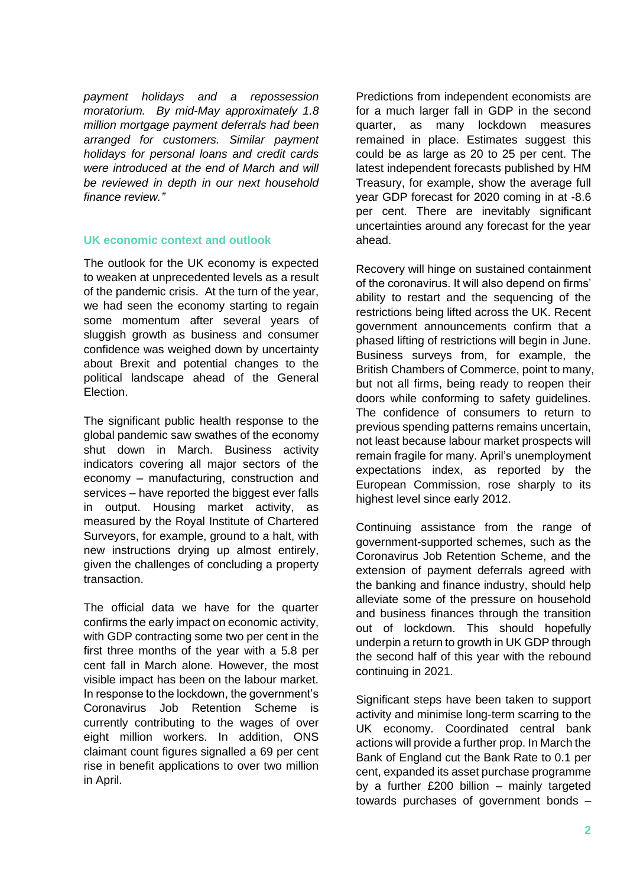*payment holidays and a repossession moratorium. By mid-May approximately 1.8 million mortgage payment deferrals had been arranged for customers. Similar payment holidays for personal loans and credit cards were introduced at the end of March and will be reviewed in depth in our next household finance review."*

# **UK economic context and outlook**

The outlook for the UK economy is expected to weaken at unprecedented levels as a result of the pandemic crisis. At the turn of the year, we had seen the economy starting to regain some momentum after several years of sluggish growth as business and consumer confidence was weighed down by uncertainty about Brexit and potential changes to the political landscape ahead of the General Election.

The significant public health response to the global pandemic saw swathes of the economy shut down in March. Business activity indicators covering all major sectors of the economy – manufacturing, construction and services – have reported the biggest ever falls in output. Housing market activity, as measured by the Royal Institute of Chartered Surveyors, for example, ground to a halt, with new instructions drying up almost entirely, given the challenges of concluding a property transaction.

The official data we have for the quarter confirms the early impact on economic activity, with GDP contracting some two per cent in the first three months of the year with a 5.8 per cent fall in March alone. However, the most visible impact has been on the labour market. In response to the lockdown, the government's Coronavirus Job Retention Scheme is currently contributing to the wages of over eight million workers. In addition, ONS claimant count figures signalled a 69 per cent rise in benefit applications to over two million in April.

Predictions from independent economists are for a much larger fall in GDP in the second quarter, as many lockdown measures remained in place. Estimates suggest this could be as large as 20 to 25 per cent. The latest independent forecasts published by HM Treasury, for example, show the average full year GDP forecast for 2020 coming in at -8.6 per cent. There are inevitably significant uncertainties around any forecast for the year ahead.

Recovery will hinge on sustained containment of the coronavirus. It will also depend on firms' ability to restart and the sequencing of the restrictions being lifted across the UK. Recent government announcements confirm that a phased lifting of restrictions will begin in June. Business surveys from, for example, the British Chambers of Commerce, point to many, but not all firms, being ready to reopen their doors while conforming to safety guidelines. The confidence of consumers to return to previous spending patterns remains uncertain, not least because labour market prospects will remain fragile for many. April's unemployment expectations index, as reported by the European Commission, rose sharply to its highest level since early 2012.

Continuing assistance from the range of government-supported schemes, such as the Coronavirus Job Retention Scheme, and the extension of payment deferrals agreed with the banking and finance industry, should help alleviate some of the pressure on household and business finances through the transition out of lockdown. This should hopefully underpin a return to growth in UK GDP through the second half of this year with the rebound continuing in 2021.

Significant steps have been taken to support activity and minimise long-term scarring to the UK economy. Coordinated central bank actions will provide a further prop. In March the Bank of England cut the Bank Rate to 0.1 per cent, expanded its asset purchase programme by a further £200 billion – mainly targeted towards purchases of government bonds –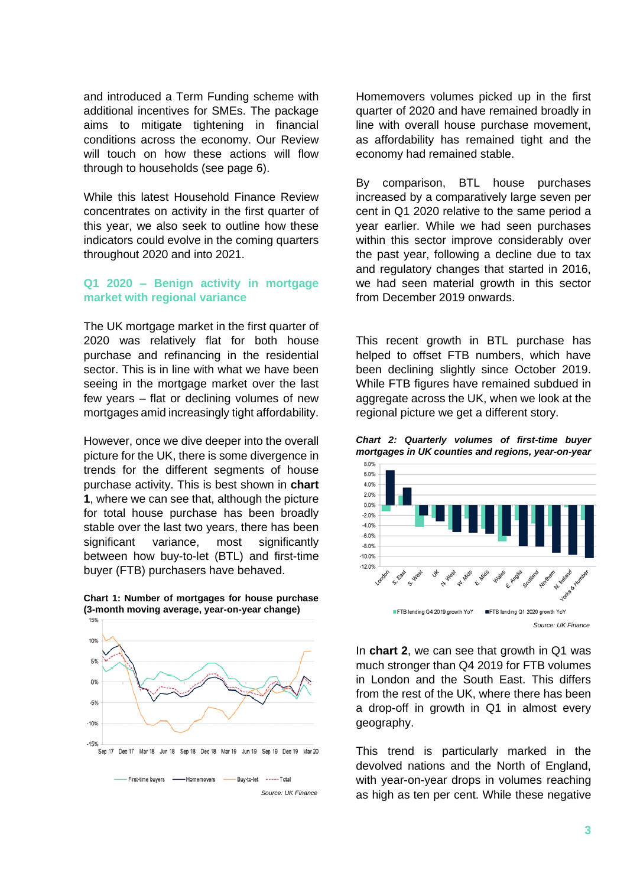and introduced a Term Funding scheme with additional incentives for SMEs. The package aims to mitigate tightening in financial conditions across the economy. Our Review will touch on how these actions will flow through to households (see page 6).

While this latest Household Finance Review concentrates on activity in the first quarter of this year, we also seek to outline how these indicators could evolve in the coming quarters throughout 2020 and into 2021.

# **Q1 2020 – Benign activity in mortgage market with regional variance**

The UK mortgage market in the first quarter of 2020 was relatively flat for both house purchase and refinancing in the residential sector. This is in line with what we have been seeing in the mortgage market over the last few years – flat or declining volumes of new mortgages amid increasingly tight affordability.

However, once we dive deeper into the overall picture for the UK, there is some divergence in trends for the different segments of house purchase activity. This is best shown in **chart 1**, where we can see that, although the picture for total house purchase has been broadly stable over the last two years, there has been significant variance, most significantly between how buy-to-let (BTL) and first-time buyer (FTB) purchasers have behaved.





Homemovers volumes picked up in the first quarter of 2020 and have remained broadly in line with overall house purchase movement, as affordability has remained tight and the economy had remained stable.

By comparison, BTL house purchases increased by a comparatively large seven per cent in Q1 2020 relative to the same period a year earlier. While we had seen purchases within this sector improve considerably over the past year, following a decline due to tax and regulatory changes that started in 2016, we had seen material growth in this sector from December 2019 onwards.

This recent growth in BTL purchase has helped to offset FTB numbers, which have been declining slightly since October 2019. While FTB figures have remained subdued in aggregate across the UK, when we look at the regional picture we get a different story.

*Chart 2: Quarterly volumes of first-time buyer mortgages in UK counties and regions, year-on-year*



In **chart 2**, we can see that growth in Q1 was much stronger than Q4 2019 for FTB volumes in London and the South East. This differs from the rest of the UK, where there has been a drop-off in growth in Q1 in almost every geography.

This trend is particularly marked in the devolved nations and the North of England, with year-on-year drops in volumes reaching as high as ten per cent. While these negative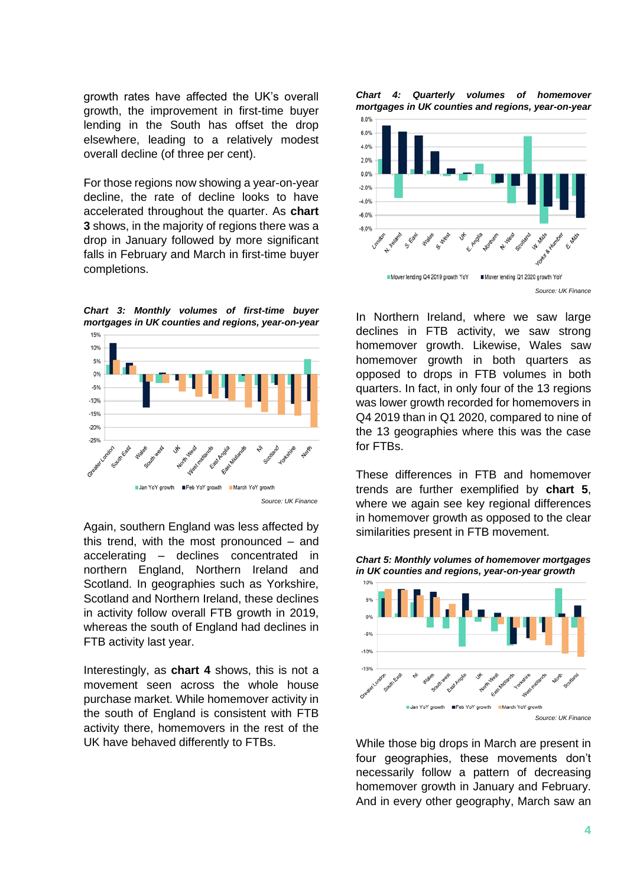growth rates have affected the UK's overall growth, the improvement in first-time buyer lending in the South has offset the drop elsewhere, leading to a relatively modest overall decline (of three per cent).

For those regions now showing a year-on-year decline, the rate of decline looks to have accelerated throughout the quarter. As **chart 3** shows, in the majority of regions there was a drop in January followed by more significant falls in February and March in first-time buyer completions.





 *Source: UK Finance*

Again, southern England was less affected by this trend, with the most pronounced – and accelerating – declines concentrated in northern England, Northern Ireland and Scotland. In geographies such as Yorkshire, Scotland and Northern Ireland, these declines in activity follow overall FTB growth in 2019, whereas the south of England had declines in FTB activity last year.

Interestingly, as **chart 4** shows, this is not a movement seen across the whole house purchase market. While homemover activity in the south of England is consistent with FTB activity there, homemovers in the rest of the UK have behaved differently to FTBs.





In Northern Ireland, where we saw large declines in FTB activity, we saw strong homemover growth. Likewise, Wales saw homemover growth in both quarters as opposed to drops in FTB volumes in both quarters. In fact, in only four of the 13 regions was lower growth recorded for homemovers in Q4 2019 than in Q1 2020, compared to nine of the 13 geographies where this was the case for FTBs.

These differences in FTB and homemover trends are further exemplified by **chart 5**, where we again see key regional differences in homemover growth as opposed to the clear similarities present in FTB movement.



*Chart 5: Monthly volumes of homemover mortgages in UK counties and regions, year-on-year growth*

While those big drops in March are present in four geographies, these movements don't necessarily follow a pattern of decreasing homemover growth in January and February. And in every other geography, March saw an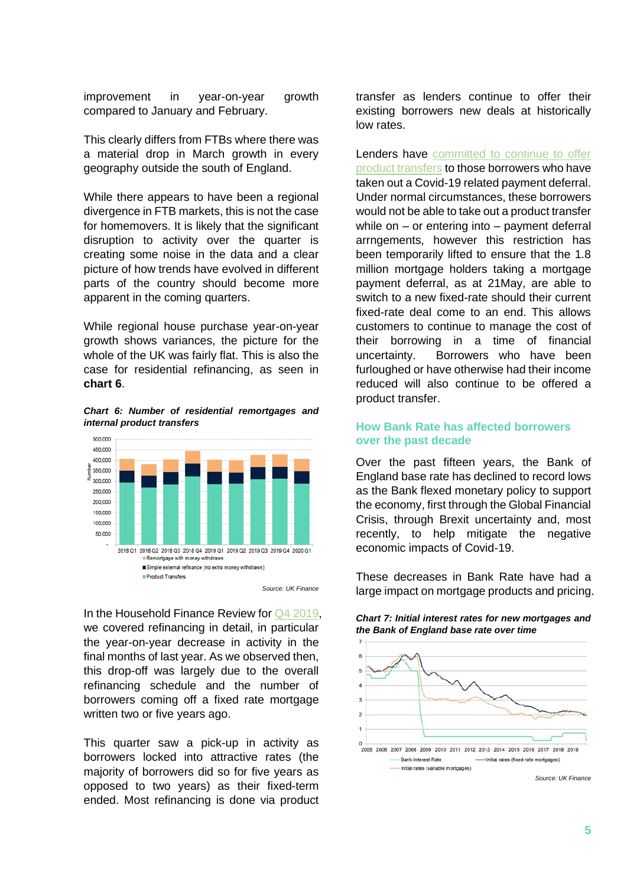improvement in year-on-year growth compared to January and February.

This clearly differs from FTBs where there was a material drop in March growth in every geography outside the south of England.

While there appears to have been a regional divergence in FTB markets, this is not the case for homemovers. It is likely that the significant disruption to activity over the quarter is creating some noise in the data and a clear picture of how trends have evolved in different parts of the country should become more apparent in the coming quarters.

While regional house purchase year-on-year growth shows variances, the picture for the whole of the UK was fairly flat. This is also the case for residential refinancing, as seen in **chart 6**.

#### *Chart 6: Number of residential remortgages and internal product transfers*



In the Household Finance Review for [Q4 2019,](https://www.ukfinance.org.uk/sites/default/files/uploads/Data%20(XLS%20and%20PDF)/Household-Finance-Review-2019-Q4-FINAL.pdf) we covered refinancing in detail, in particular the year-on-year decrease in activity in the final months of last year. As we observed then, this drop-off was largely due to the overall refinancing schedule and the number of borrowers coming off a fixed rate mortgage written two or five years ago.

This quarter saw a pick-up in activity as borrowers locked into attractive rates (the majority of borrowers did so for five years as opposed to two years) as their fixed-term ended. Most refinancing is done via product

transfer as lenders continue to offer their existing borrowers new deals at historically low rates.

Lenders have committed to continue to offer [product transfers](https://www.ukfinance.org.uk/news-and-insight/blogs/product-transfers-helping-customers-impacted-covid-19-switch-deal) to those borrowers who have taken out a Covid-19 related payment deferral. Under normal circumstances, these borrowers would not be able to take out a product transfer while on – or entering into – payment deferral arrngements, however this restriction has been temporarily lifted to ensure that the 1.8 million mortgage holders taking a mortgage payment deferral, as at 21May, are able to switch to a new fixed-rate should their current fixed-rate deal come to an end. This allows customers to continue to manage the cost of their borrowing in a time of financial uncertainty. Borrowers who have been furloughed or have otherwise had their income reduced will also continue to be offered a product transfer.

## **How Bank Rate has affected borrowers over the past decade**

Over the past fifteen years, the Bank of England base rate has declined to record lows as the Bank flexed monetary policy to support the economy, first through the Global Financial Crisis, through Brexit uncertainty and, most recently, to help mitigate the negative economic impacts of Covid-19.

These decreases in Bank Rate have had a large impact on mortgage products and pricing.



*Chart 7: Initial interest rates for new mortgages and the Bank of England base rate over time*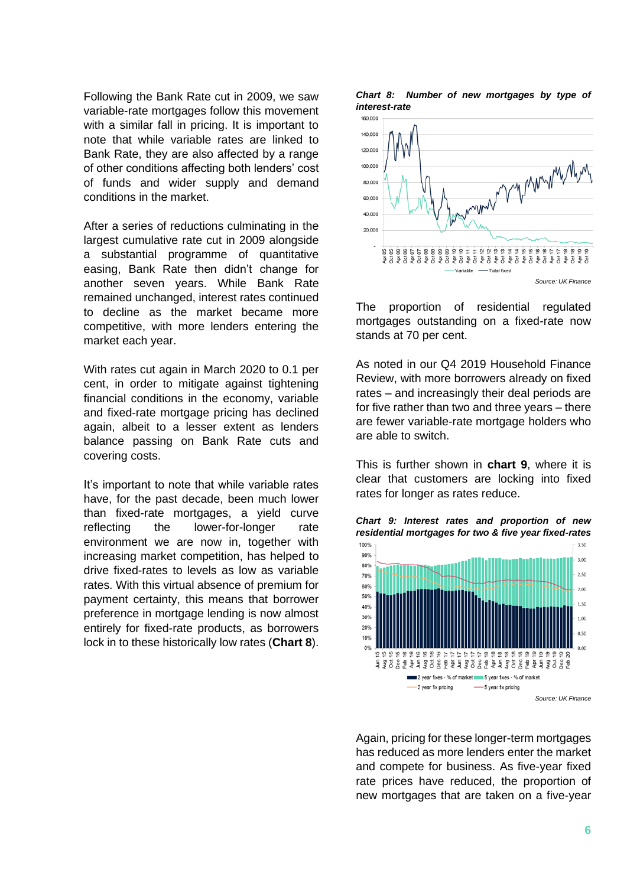Following the Bank Rate cut in 2009, we saw variable-rate mortgages follow this movement with a similar fall in pricing. It is important to note that while variable rates are linked to Bank Rate, they are also affected by a range of other conditions affecting both lenders' cost of funds and wider supply and demand conditions in the market.

After a series of reductions culminating in the largest cumulative rate cut in 2009 alongside a substantial programme of quantitative easing, Bank Rate then didn't change for another seven years. While Bank Rate remained unchanged, interest rates continued to decline as the market became more competitive, with more lenders entering the market each year.

With rates cut again in March 2020 to 0.1 per cent, in order to mitigate against tightening financial conditions in the economy, variable and fixed-rate mortgage pricing has declined again, albeit to a lesser extent as lenders balance passing on Bank Rate cuts and covering costs.

It's important to note that while variable rates have, for the past decade, been much lower than fixed-rate mortgages, a yield curve reflecting the lower-for-longer rate environment we are now in, together with increasing market competition, has helped to drive fixed-rates to levels as low as variable rates. With this virtual absence of premium for payment certainty, this means that borrower preference in mortgage lending is now almost entirely for fixed-rate products, as borrowers lock in to these historically low rates (**Chart 8**).

*Chart 8: Number of new mortgages by type of interest-rate*



The proportion of residential regulated mortgages outstanding on a fixed-rate now stands at 70 per cent.

As noted in our Q4 2019 Household Finance Review, with more borrowers already on fixed rates – and increasingly their deal periods are for five rather than two and three years – there are fewer variable-rate mortgage holders who are able to switch.

This is further shown in **chart 9**, where it is clear that customers are locking into fixed rates for longer as rates reduce.



Again, pricing for these longer-term mortgages has reduced as more lenders enter the market and compete for business. As five-year fixed rate prices have reduced, the proportion of new mortgages that are taken on a five-year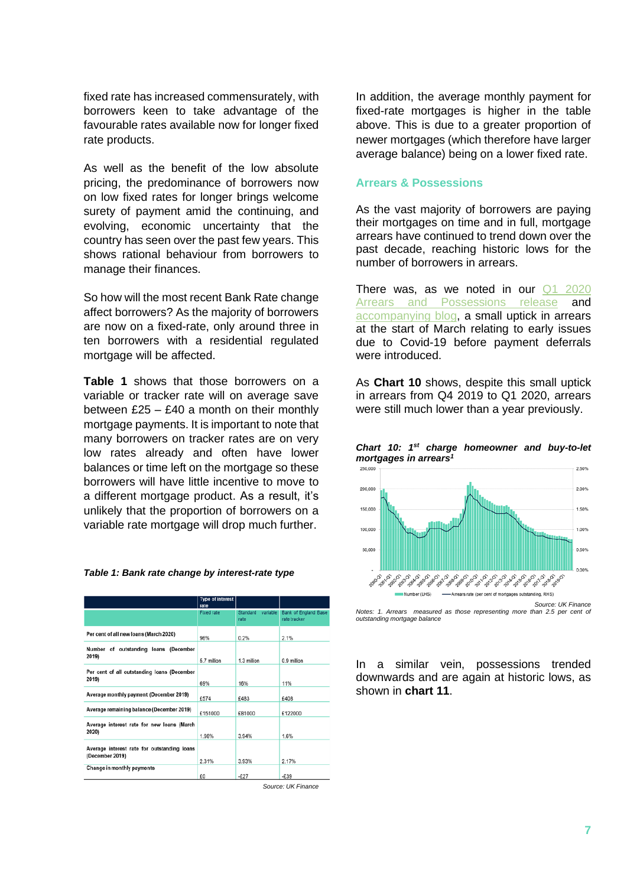fixed rate has increased commensurately, with borrowers keen to take advantage of the favourable rates available now for longer fixed rate products.

As well as the benefit of the low absolute pricing, the predominance of borrowers now on low fixed rates for longer brings welcome surety of payment amid the continuing, and evolving, economic uncertainty that the country has seen over the past few years. This shows rational behaviour from borrowers to manage their finances.

So how will the most recent Bank Rate change affect borrowers? As the majority of borrowers are now on a fixed-rate, only around three in ten borrowers with a residential regulated mortgage will be affected.

**Table 1** shows that those borrowers on a variable or tracker rate will on average save between £25 – £40 a month on their monthly mortgage payments. It is important to note that many borrowers on tracker rates are on very low rates already and often have lower balances or time left on the mortgage so these borrowers will have little incentive to move to a different mortgage product. As a result, it's unlikely that the proportion of borrowers on a variable rate mortgage will drop much further.

#### *Table 1: Bank rate change by interest-rate type*

|                                                                | <b>Type of interest</b><br>rate |                              |                                      |
|----------------------------------------------------------------|---------------------------------|------------------------------|--------------------------------------|
|                                                                | Fixed rate                      | Standard<br>variable<br>rate | Bank of England Base<br>rate tracker |
| Per cent of all new loans (March 2020)                         | 96%                             | 0.2%                         | 2.1%                                 |
| Number of outstanding loans (December<br>2019)                 | 5.7 million                     | 1.3 million                  | 0.9 million                          |
| Per cent of all outstanding loans (December<br>2019)           | 69%                             | 16%                          | 11%                                  |
| Average monthly payment (December 2019)                        | £574                            | £483                         | £408                                 |
| Average remaining balance (December 2019)                      | £151000                         | £81000                       | £122000                              |
| Average interest rate for new loans (March<br>2020)            | 1.98%                           | 3.94%                        | 1.6%                                 |
| Average interest rate for outstanding loans<br>(December 2019) | 2.31%                           | 3.93%                        | 2.17%                                |
| Change in monthly payments                                     | £0                              | $-E27$                       | $-E39$                               |

*Source: UK Finance*

In addition, the average monthly payment for fixed-rate mortgages is higher in the table above. This is due to a greater proportion of newer mortgages (which therefore have larger average balance) being on a lower fixed rate.

#### **Arrears & Possessions**

As the vast majority of borrowers are paying their mortgages on time and in full, mortgage arrears have continued to trend down over the past decade, reaching historic lows for the number of borrowers in arrears.

There was, as we noted in our [Q1 2020](https://www.ukfinance.org.uk/sites/default/files/uploads/Data%20(XLS%20and%20PDF)/UKF-Mortgage-Arrears-Possessions-Update-14-May-2020-FINAL.pdf)  [Arrears and Possessions release](https://www.ukfinance.org.uk/sites/default/files/uploads/Data%20(XLS%20and%20PDF)/UKF-Mortgage-Arrears-Possessions-Update-14-May-2020-FINAL.pdf) and [accompanying blog,](https://www.ukfinance.org.uk/news-and-insight/blogs/mortgage-arrears-and-possessions-2020) a small uptick in arrears at the start of March relating to early issues due to Covid-19 before payment deferrals were introduced.

As **Chart 10** shows, despite this small uptick in arrears from Q4 2019 to Q1 2020, arrears were still much lower than a year previously.



Notes: 1. Arrears measured as those representing more than 2.5 per cent of *outstanding mortgage balance*

In a similar vein, possessions trended downwards and are again at historic lows, as shown in **chart 11**.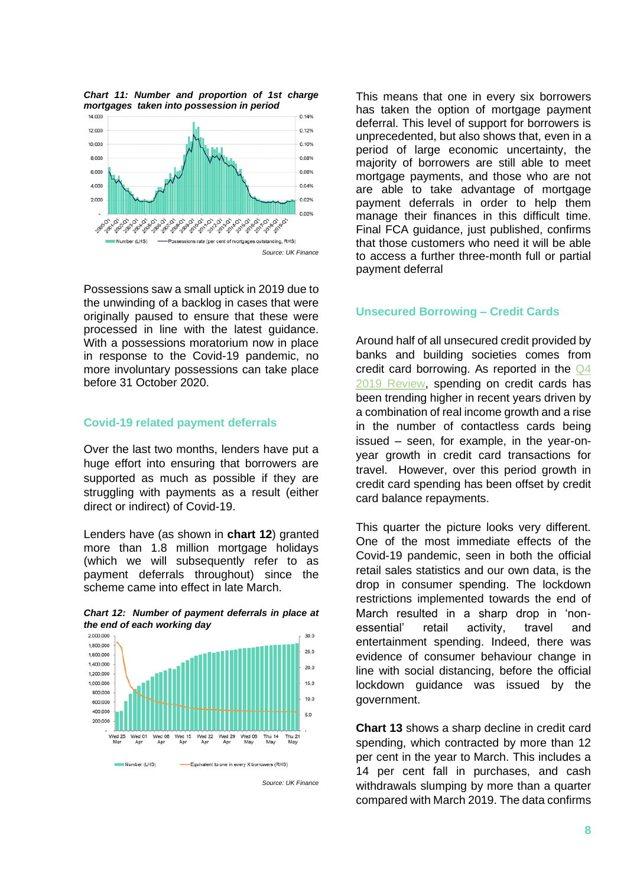



Possessions saw a small uptick in 2019 due to the unwinding of a backlog in cases that were originally paused to ensure that these were processed in line with the latest guidance. With a possessions moratorium now in place in response to the Covid-19 pandemic, no more involuntary possessions can take place before 31 October 2020.

### **Covid-19 related payment deferrals**

Over the last two months, lenders have put a huge effort into ensuring that borrowers are supported as much as possible if they are struggling with payments as a result (either direct or indirect) of Covid-19.

Lenders have (as shown in **chart 12**) granted more than 1.8 million mortgage holidays (which we will subsequently refer to as payment deferrals throughout) since the scheme came into effect in late March.





*Source: UK Finance*

This means that one in every six borrowers has taken the option of mortgage payment deferral. This level of support for borrowers is unprecedented, but also shows that, even in a period of large economic uncertainty, the majority of borrowers are still able to meet mortgage payments, and those who are not are able to take advantage of mortgage payment deferrals in order to help them manage their finances in this difficult time. Final FCA guidance, just published, confirms that those customers who need it will be able to access a further three-month full or partial payment deferral

#### **Unsecured Borrowing – Credit Cards**

Around half of all unsecured credit provided by banks and building societies comes from credit card borrowing. As reported in the [Q4](https://www.ukfinance.org.uk/sites/default/files/uploads/Data%20(XLS%20and%20PDF)/Household-Finance-Review-2019-Q4-FINAL.pdf)  [2019 Review,](https://www.ukfinance.org.uk/sites/default/files/uploads/Data%20(XLS%20and%20PDF)/Household-Finance-Review-2019-Q4-FINAL.pdf) spending on credit cards has been trending higher in recent years driven by a combination of real income growth and a rise in the number of contactless cards being issued – seen, for example, in the year-onyear growth in credit card transactions for travel. However, over this period growth in credit card spending has been offset by credit card balance repayments.

This quarter the picture looks very different. One of the most immediate effects of the Covid-19 pandemic, seen in both the official retail sales statistics and our own data, is the drop in consumer spending. The lockdown restrictions implemented towards the end of March resulted in a sharp drop in 'nonessential' retail activity, travel and entertainment spending. Indeed, there was evidence of consumer behaviour change in line with social distancing, before the official lockdown guidance was issued by the government.

**Chart 13** shows a sharp decline in credit card spending, which contracted by more than 12 per cent in the year to March. This includes a 14 per cent fall in purchases, and cash withdrawals slumping by more than a quarter compared with March 2019. The data confirms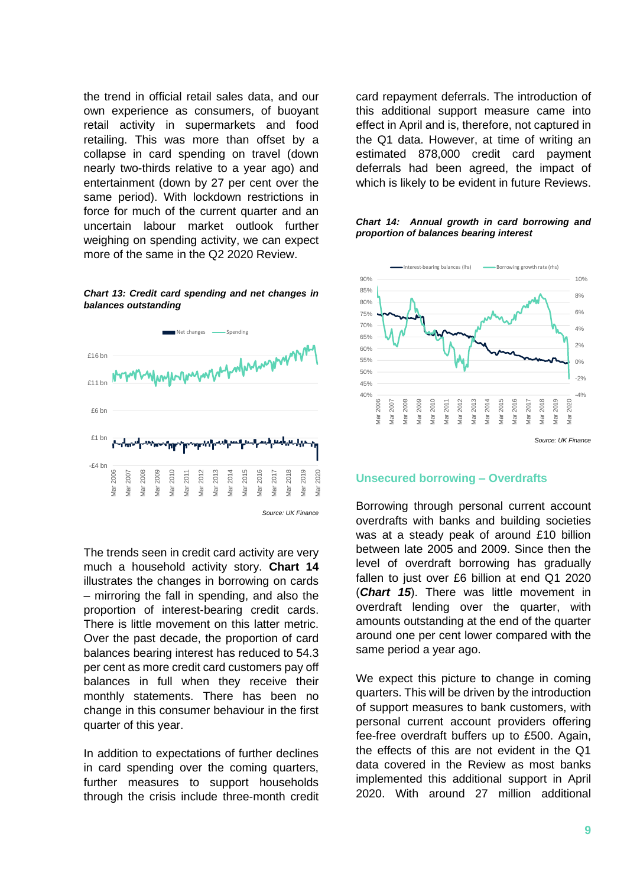the trend in official retail sales data, and our own experience as consumers, of buoyant retail activity in supermarkets and food retailing. This was more than offset by a collapse in card spending on travel (down nearly two-thirds relative to a year ago) and entertainment (down by 27 per cent over the same period). With lockdown restrictions in force for much of the current quarter and an uncertain labour market outlook further weighing on spending activity, we can expect more of the same in the Q2 2020 Review.

*Chart 13: Credit card spending and net changes in balances outstanding*



The trends seen in credit card activity are very much a household activity story. **Chart 14** illustrates the changes in borrowing on cards – mirroring the fall in spending, and also the proportion of interest-bearing credit cards. There is little movement on this latter metric. Over the past decade, the proportion of card balances bearing interest has reduced to 54.3 per cent as more credit card customers pay off balances in full when they receive their monthly statements. There has been no change in this consumer behaviour in the first quarter of this year.

In addition to expectations of further declines in card spending over the coming quarters, further measures to support households through the crisis include three-month credit card repayment deferrals. The introduction of this additional support measure came into effect in April and is, therefore, not captured in the Q1 data. However, at time of writing an estimated 878,000 credit card payment deferrals had been agreed, the impact of which is likely to be evident in future Reviews.

#### *Chart 14: Annual growth in card borrowing and proportion of balances bearing interest*



## **Unsecured borrowing – Overdrafts**

Borrowing through personal current account overdrafts with banks and building societies was at a steady peak of around £10 billion between late 2005 and 2009. Since then the level of overdraft borrowing has gradually fallen to just over £6 billion at end Q1 2020 (*Chart 15*). There was little movement in overdraft lending over the quarter, with amounts outstanding at the end of the quarter around one per cent lower compared with the same period a year ago.

We expect this picture to change in coming quarters. This will be driven by the introduction of support measures to bank customers, with personal current account providers offering fee-free overdraft buffers up to £500. Again, the effects of this are not evident in the Q1 data covered in the Review as most banks implemented this additional support in April 2020. With around 27 million additional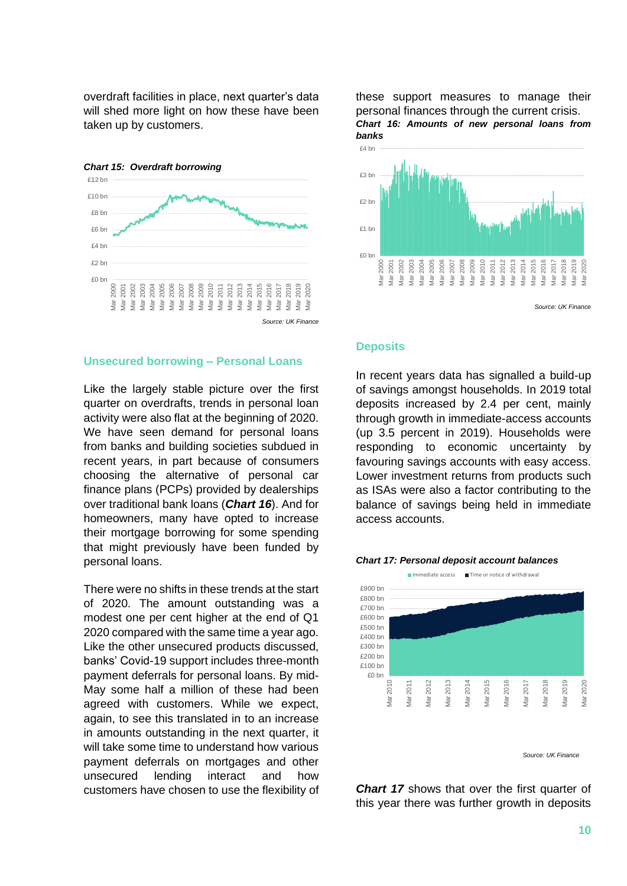overdraft facilities in place, next quarter's data will shed more light on how these have been taken up by customers.

*Chart 15: Overdraft borrowing*



these support measures to manage their personal finances through the current crisis. *Chart 16: Amounts of new personal loans from banks*



## **Deposits**

#### **Unsecured borrowing – Personal Loans**

Like the largely stable picture over the first quarter on overdrafts, trends in personal loan activity were also flat at the beginning of 2020. We have seen demand for personal loans from banks and building societies subdued in recent years, in part because of consumers choosing the alternative of personal car finance plans (PCPs) provided by dealerships over traditional bank loans (*Chart 16*). And for homeowners, many have opted to increase their mortgage borrowing for some spending that might previously have been funded by personal loans.

There were no shifts in these trends at the start of 2020. The amount outstanding was a modest one per cent higher at the end of Q1 2020 compared with the same time a year ago. Like the other unsecured products discussed, banks' Covid-19 support includes three-month payment deferrals for personal loans. By mid-May some half a million of these had been agreed with customers. While we expect, again, to see this translated in to an increase in amounts outstanding in the next quarter, it will take some time to understand how various payment deferrals on mortgages and other unsecured lending interact and how customers have chosen to use the flexibility of In recent years data has signalled a build-up of savings amongst households. In 2019 total deposits increased by 2.4 per cent, mainly through growth in immediate-access accounts (up 3.5 percent in 2019). Households were responding to economic uncertainty by favouring savings accounts with easy access. Lower investment returns from products such as ISAs were also a factor contributing to the balance of savings being held in immediate access accounts.





 *Source: UK Finance*

*Chart 17* shows that over the first quarter of this year there was further growth in deposits